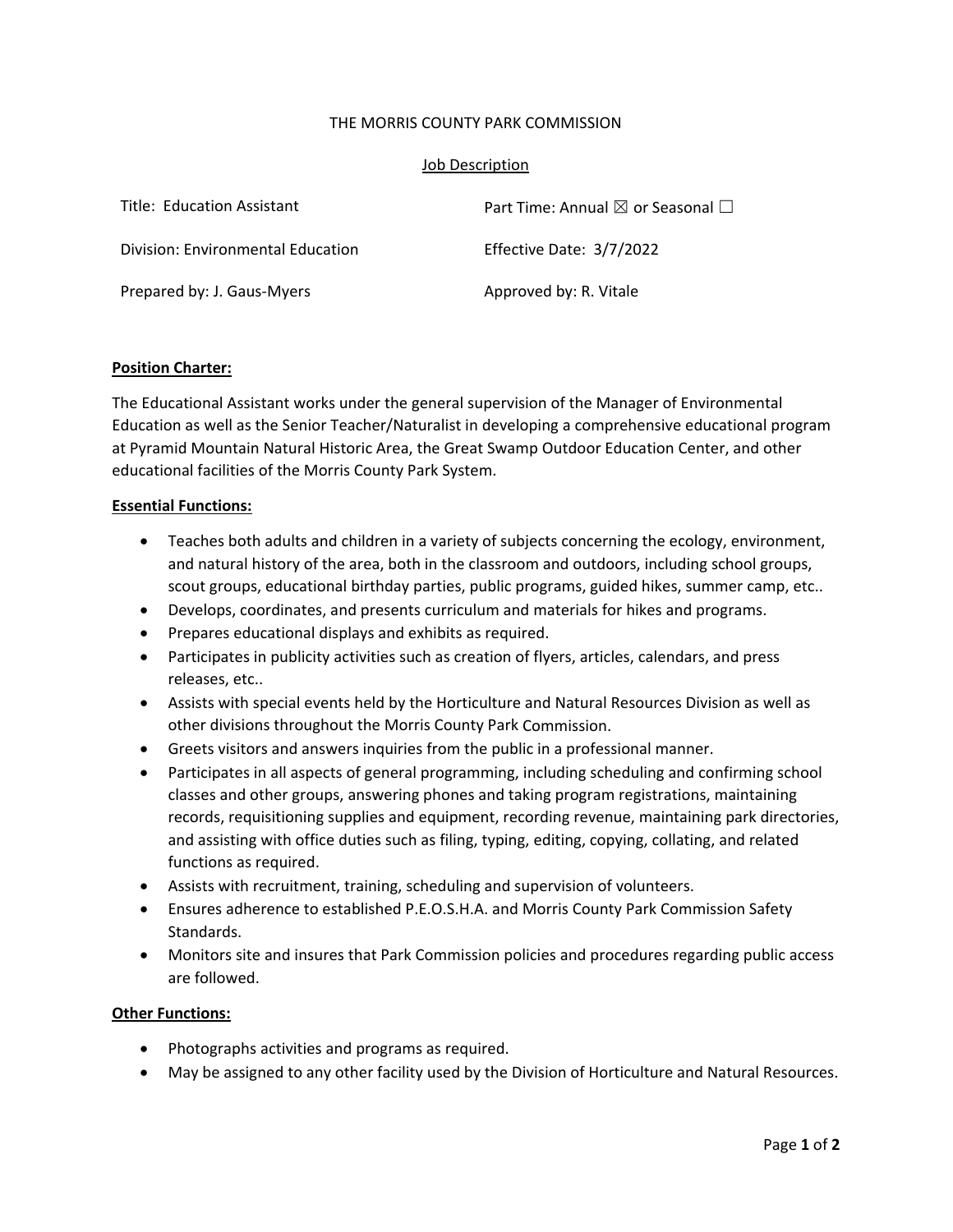### THE MORRIS COUNTY PARK COMMISSION

#### Job Description

| Title: Education Assistant        | Part Time: Annual $\boxtimes$ or Seasonal $\Box$ |
|-----------------------------------|--------------------------------------------------|
| Division: Environmental Education | Effective Date: 3/7/2022                         |
| Prepared by: J. Gaus-Myers        | Approved by: R. Vitale                           |

## **Position Charter:**

The Educational Assistant works under the general supervision of the Manager of Environmental Education as well as the Senior Teacher/Naturalist in developing a comprehensive educational program at Pyramid Mountain Natural Historic Area, the Great Swamp Outdoor Education Center, and other educational facilities of the Morris County Park System.

#### **Essential Functions:**

- Teaches both adults and children in a variety of subjects concerning the ecology, environment, and natural history of the area, both in the classroom and outdoors, including school groups, scout groups, educational birthday parties, public programs, guided hikes, summer camp, etc..
- Develops, coordinates, and presents curriculum and materials for hikes and programs.
- Prepares educational displays and exhibits as required.
- Participates in publicity activities such as creation of flyers, articles, calendars, and press releases, etc..
- Assists with special events held by the Horticulture and Natural Resources Division as well as other divisions throughout the Morris County Park Commission.
- Greets visitors and answers inquiries from the public in a professional manner.
- Participates in all aspects of general programming, including scheduling and confirming school classes and other groups, answering phones and taking program registrations, maintaining records, requisitioning supplies and equipment, recording revenue, maintaining park directories, and assisting with office duties such as filing, typing, editing, copying, collating, and related functions as required.
- Assists with recruitment, training, scheduling and supervision of volunteers.
- Ensures adherence to established P.E.O.S.H.A. and Morris County Park Commission Safety Standards.
- Monitors site and insures that Park Commission policies and procedures regarding public access are followed.

#### **Other Functions:**

- Photographs activities and programs as required.
- May be assigned to any other facility used by the Division of Horticulture and Natural Resources.